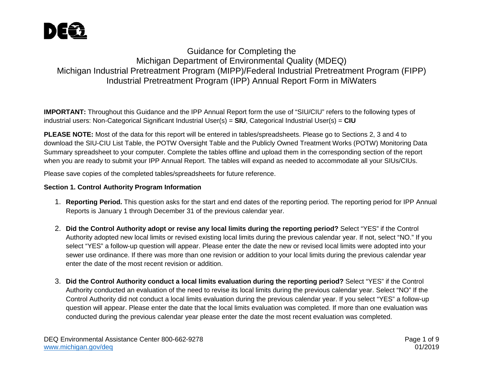

# Guidance for Completing the Michigan Department of Environmental Quality (MDEQ) Michigan Industrial Pretreatment Program (MIPP)/Federal Industrial Pretreatment Program (FIPP) Industrial Pretreatment Program (IPP) Annual Report Form in MiWaters

**IMPORTANT:** Throughout this Guidance and the IPP Annual Report form the use of "SIU/CIU" refers to the following types of industrial users: Non-Categorical Significant Industrial User(s) = **SIU**, Categorical Industrial User(s) = **CIU**

**PLEASE NOTE:** Most of the data for this report will be entered in tables/spreadsheets. Please go to Sections 2, 3 and 4 to download the SIU-CIU List Table, the POTW Oversight Table and the Publicly Owned Treatment Works (POTW) Monitoring Data Summary spreadsheet to your computer. Complete the tables offline and upload them in the corresponding section of the report when you are ready to submit your IPP Annual Report. The tables will expand as needed to accommodate all your SIUs/CIUs.

Please save copies of the completed tables/spreadsheets for future reference.

## **Section 1. Control Authority Program Information**

- 1. **Reporting Period.** This question asks for the start and end dates of the reporting period. The reporting period for IPP Annual Reports is January 1 through December 31 of the previous calendar year.
- 2. **Did the Control Authority adopt or revise any local limits during the reporting period?** Select "YES" if the Control Authority adopted new local limits or revised existing local limits during the previous calendar year. If not, select "NO." If you select "YES" a follow-up question will appear. Please enter the date the new or revised local limits were adopted into your sewer use ordinance. If there was more than one revision or addition to your local limits during the previous calendar year enter the date of the most recent revision or addition.
- 3. **Did the Control Authority conduct a local limits evaluation during the reporting period?** Select "YES" if the Control Authority conducted an evaluation of the need to revise its local limits during the previous calendar year. Select "NO" If the Control Authority did not conduct a local limits evaluation during the previous calendar year. If you select "YES" a follow-up question will appear. Please enter the date that the local limits evaluation was completed. If more than one evaluation was conducted during the previous calendar year please enter the date the most recent evaluation was completed.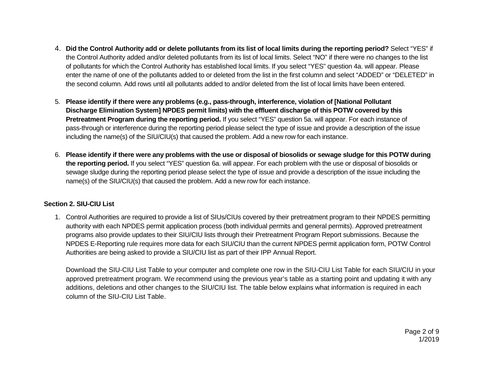- 4. **Did the Control Authority add or delete pollutants from its list of local limits during the reporting period?** Select "YES" if the Control Authority added and/or deleted pollutants from its list of local limits. Select "NO" if there were no changes to the list of pollutants for which the Control Authority has established local limits. If you select "YES" question 4a. will appear. Please enter the name of one of the pollutants added to or deleted from the list in the first column and select "ADDED" or "DELETED" in the second column. Add rows until all pollutants added to and/or deleted from the list of local limits have been entered.
- 5. **Please identify if there were any problems (e.g., pass-through, interference, violation of [National Pollutant Discharge Elimination System] NPDES permit limits) with the effluent discharge of this POTW covered by this Pretreatment Program during the reporting period.** If you select "YES" question 5a. will appear. For each instance of pass-through or interference during the reporting period please select the type of issue and provide a description of the issue including the name(s) of the SIU/CIU(s) that caused the problem. Add a new row for each instance.
- 6. **Please identify if there were any problems with the use or disposal of biosolids or sewage sludge for this POTW during the reporting period.** If you select "YES" question 6a. will appear. For each problem with the use or disposal of biosolids or sewage sludge during the reporting period please select the type of issue and provide a description of the issue including the name(s) of the SIU/CIU(s) that caused the problem. Add a new row for each instance.

### **Section 2. SIU-CIU List**

1. Control Authorities are required to provide a list of SIUs/CIUs covered by their pretreatment program to their NPDES permitting authority with each NPDES permit application process (both individual permits and general permits). Approved pretreatment programs also provide updates to their SIU/CIU lists through their Pretreatment Program Report submissions. Because the NPDES E-Reporting rule requires more data for each SIU/CIU than the current NPDES permit application form, POTW Control Authorities are being asked to provide a SIU/CIU list as part of their IPP Annual Report.

Download the SIU-CIU List Table to your computer and complete one row in the SIU-CIU List Table for each SIU/CIU in your approved pretreatment program. We recommend using the previous year's table as a starting point and updating it with any additions, deletions and other changes to the SIU/CIU list. The table below explains what information is required in each column of the SIU-CIU List Table.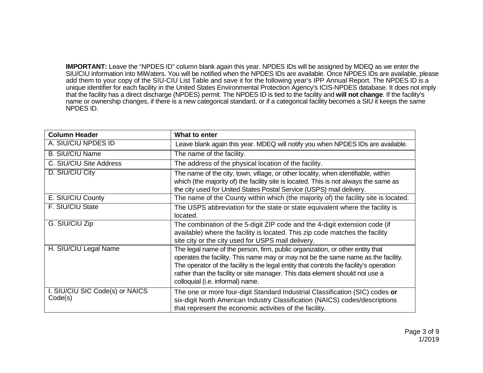**IMPORTANT:** Leave the "NPDES ID" column blank again this year. NPDES IDs will be assigned by MDEQ as we enter the SIU/CIU information into MiWaters. You will be notified when the NPDES IDs are available. Once NPDES IDs are available, please add them to your copy of the SIU-CIU List Table and save it for the following year's IPP Annual Report. The NPDES ID is a unique identifier for each facility in the United States Environmental Protection Agency's ICIS-NPDES database. It does not imply that the facility has a direct discharge (NPDES) permit. The NPDES ID is tied to the facility and **will not change**. If the facility's name or ownership changes, if there is a new categorical standard, or if a categorical facility becomes a SIU it keeps the same NPDES ID.

| <b>Column Header</b>                       | What to enter                                                                                                                                                                                                                                                                                                                                                                     |
|--------------------------------------------|-----------------------------------------------------------------------------------------------------------------------------------------------------------------------------------------------------------------------------------------------------------------------------------------------------------------------------------------------------------------------------------|
| A. SIU/CIU NPDES ID                        | Leave blank again this year. MDEQ will notify you when NPDES IDs are available.                                                                                                                                                                                                                                                                                                   |
| <b>B. SIU/CIU Name</b>                     | The name of the facility.                                                                                                                                                                                                                                                                                                                                                         |
| C. SIU/CIU Site Address                    | The address of the physical location of the facility.                                                                                                                                                                                                                                                                                                                             |
| D. SIU/CIU City                            | The name of the city, town, village, or other locality, when identifiable, within<br>which (the majority of) the facility site is located. This is not always the same as<br>the city used for United States Postal Service (USPS) mail delivery.                                                                                                                                 |
| E. SIU/CIU County                          | The name of the County within which (the majority of) the facility site is located.                                                                                                                                                                                                                                                                                               |
| F. SIU/CIU State                           | The USPS abbreviation for the state or state equivalent where the facility is<br>located.                                                                                                                                                                                                                                                                                         |
| G. SIU/CIU Zip                             | The combination of the 5-digit ZIP code and the 4-digit extension code (if<br>available) where the facility is located. This zip code matches the facility<br>site city or the city used for USPS mail delivery.                                                                                                                                                                  |
| H. SIU/CIU Legal Name                      | The legal name of the person, firm, public organization, or other entity that<br>operates the facility. This name may or may not be the same name as the facility.<br>The operator of the facility is the legal entity that controls the facility's operation<br>rather than the facility or site manager. This data element should not use a<br>colloquial (i.e. informal) name. |
| I. SIU/CIU SIC Code(s) or NAICS<br>Code(s) | The one or more four-digit Standard Industrial Classification (SIC) codes or<br>six-digit North American Industry Classification (NAICS) codes/descriptions<br>that represent the economic activities of the facility.                                                                                                                                                            |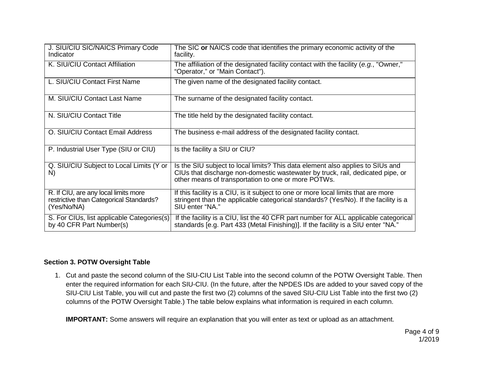| J. SIU/CIU SIC/NAICS Primary Code<br>Indicator                                                 | The SIC or NAICS code that identifies the primary economic activity of the<br>facility.                                                                                                                                 |
|------------------------------------------------------------------------------------------------|-------------------------------------------------------------------------------------------------------------------------------------------------------------------------------------------------------------------------|
| K. SIU/CIU Contact Affiliation                                                                 | The affiliation of the designated facility contact with the facility (e.g., "Owner,"<br>"Operator," or "Main Contact").                                                                                                 |
| L. SIU/CIU Contact First Name                                                                  | The given name of the designated facility contact.                                                                                                                                                                      |
| M. SIU/CIU Contact Last Name                                                                   | The surname of the designated facility contact.                                                                                                                                                                         |
| N. SIU/CIU Contact Title                                                                       | The title held by the designated facility contact.                                                                                                                                                                      |
| O. SIU/CIU Contact Email Address                                                               | The business e-mail address of the designated facility contact.                                                                                                                                                         |
| P. Industrial User Type (SIU or CIU)                                                           | Is the facility a SIU or CIU?                                                                                                                                                                                           |
| Q. SIU/CIU Subject to Local Limits (Y or<br>N)                                                 | Is the SIU subject to local limits? This data element also applies to SIUs and<br>CIUs that discharge non-domestic wastewater by truck, rail, dedicated pipe, or<br>other means of transportation to one or more POTWs. |
| R. If CIU, are any local limits more<br>restrictive than Categorical Standards?<br>(Yes/No/NA) | If this facility is a CIU, is it subject to one or more local limits that are more<br>stringent than the applicable categorical standards? (Yes/No). If the facility is a<br>SIU enter "NA."                            |
| S. For CIUs, list applicable Categories(s)<br>by 40 CFR Part Number(s)                         | If the facility is a CIU, list the 40 CFR part number for ALL applicable categorical<br>standards [e.g. Part 433 (Metal Finishing)]. If the facility is a SIU enter "NA."                                               |

#### **Section 3. POTW Oversight Table**

1. Cut and paste the second column of the SIU-CIU List Table into the second column of the POTW Oversight Table. Then enter the required information for each SIU-CIU. (In the future, after the NPDES IDs are added to your saved copy of the SIU-CIU List Table, you will cut and paste the first two (2) columns of the saved SIU-CIU List Table into the first two (2) columns of the POTW Oversight Table.) The table below explains what information is required in each column.

**IMPORTANT:** Some answers will require an explanation that you will enter as text or upload as an attachment.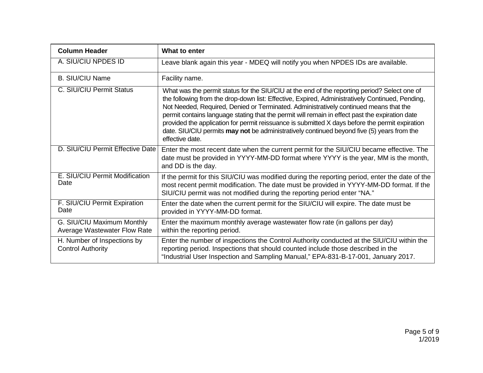| <b>Column Header</b>                                       | What to enter                                                                                                                                                                                                                                                                                                                                                                                                                                                                                                                                                                                                   |
|------------------------------------------------------------|-----------------------------------------------------------------------------------------------------------------------------------------------------------------------------------------------------------------------------------------------------------------------------------------------------------------------------------------------------------------------------------------------------------------------------------------------------------------------------------------------------------------------------------------------------------------------------------------------------------------|
| A. SIU/CIU NPDES ID                                        | Leave blank again this year - MDEQ will notify you when NPDES IDs are available.                                                                                                                                                                                                                                                                                                                                                                                                                                                                                                                                |
| <b>B. SIU/CIU Name</b>                                     | Facility name.                                                                                                                                                                                                                                                                                                                                                                                                                                                                                                                                                                                                  |
| C. SIU/CIU Permit Status                                   | What was the permit status for the SIU/CIU at the end of the reporting period? Select one of<br>the following from the drop-down list: Effective, Expired, Administratively Continued, Pending,<br>Not Needed, Required, Denied or Terminated. Administratively continued means that the<br>permit contains language stating that the permit will remain in effect past the expiration date<br>provided the application for permit reissuance is submitted X days before the permit expiration<br>date. SIU/CIU permits may not be administratively continued beyond five (5) years from the<br>effective date. |
| D. SIU/CIU Permit Effective Date                           | Enter the most recent date when the current permit for the SIU/CIU became effective. The<br>date must be provided in YYYY-MM-DD format where YYYY is the year, MM is the month,<br>and DD is the day.                                                                                                                                                                                                                                                                                                                                                                                                           |
| E. SIU/CIU Permit Modification<br>Date                     | If the permit for this SIU/CIU was modified during the reporting period, enter the date of the<br>most recent permit modification. The date must be provided in YYYY-MM-DD format. If the<br>SIU/CIU permit was not modified during the reporting period enter "NA."                                                                                                                                                                                                                                                                                                                                            |
| F. SIU/CIU Permit Expiration<br>Date                       | Enter the date when the current permit for the SIU/CIU will expire. The date must be<br>provided in YYYY-MM-DD format.                                                                                                                                                                                                                                                                                                                                                                                                                                                                                          |
| G. SIU/CIU Maximum Monthly<br>Average Wastewater Flow Rate | Enter the maximum monthly average wastewater flow rate (in gallons per day)<br>within the reporting period.                                                                                                                                                                                                                                                                                                                                                                                                                                                                                                     |
| H. Number of Inspections by<br><b>Control Authority</b>    | Enter the number of inspections the Control Authority conducted at the SIU/CIU within the<br>reporting period. Inspections that should counted include those described in the<br>"Industrial User Inspection and Sampling Manual," EPA-831-B-17-001, January 2017.                                                                                                                                                                                                                                                                                                                                              |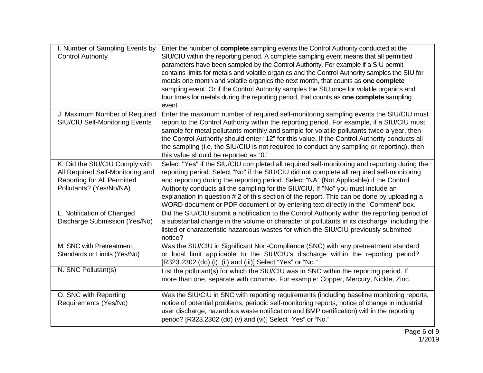| I. Number of Sampling Events by<br><b>Control Authority</b>                                                                         | Enter the number of complete sampling events the Control Authority conducted at the<br>SIU/CIU within the reporting period. A complete sampling event means that all permitted<br>parameters have been sampled by the Control Authority. For example if a SIU permit<br>contains limits for metals and volatile organics and the Control Authority samples the SIU for<br>metals one month and volatile organics the next month, that counts as one complete<br>sampling event. Or if the Control Authority samples the SIU once for volatile organics and<br>four times for metals during the reporting period, that counts as one complete sampling<br>event. |
|-------------------------------------------------------------------------------------------------------------------------------------|-----------------------------------------------------------------------------------------------------------------------------------------------------------------------------------------------------------------------------------------------------------------------------------------------------------------------------------------------------------------------------------------------------------------------------------------------------------------------------------------------------------------------------------------------------------------------------------------------------------------------------------------------------------------|
| J. Maximum Number of Required<br>SIU/CIU Self-Monitoring Events                                                                     | Enter the maximum number of required self-monitoring sampling events the SIU/CIU must<br>report to the Control Authority within the reporting period. For example, if a SIU/CIU must<br>sample for metal pollutants monthly and sample for volatile pollutants twice a year, then<br>the Control Authority should enter "12" for this value. If the Control Authority conducts all<br>the sampling (i.e. the SIU/CIU is not required to conduct any sampling or reporting), then<br>this value should be reported as "0."                                                                                                                                       |
| K. Did the SIU/CIU Comply with<br>All Required Self-Monitoring and<br><b>Reporting for All Permitted</b><br>Pollutants? (Yes/No/NA) | Select "Yes" if the SIU/CIU completed all required self-monitoring and reporting during the<br>reporting period. Select "No" if the SIU/CIU did not complete all required self-monitoring<br>and reporting during the reporting period. Select "NA" (Not Applicable) if the Control<br>Authority conducts all the sampling for the SIU/CIU. If "No" you must include an<br>explanation in question # 2 of this section of the report. This can be done by uploading a<br>WORD document or PDF document or by entering text directly in the "Comment" box.                                                                                                       |
| L. Notification of Changed<br>Discharge Submission (Yes/No)                                                                         | Did the SIU/CIU submit a notification to the Control Authority within the reporting period of<br>a substantial change in the volume or character of pollutants in its discharge, including the<br>listed or characteristic hazardous wastes for which the SIU/CIU previously submitted<br>notice?                                                                                                                                                                                                                                                                                                                                                               |
| M. SNC with Pretreatment<br>Standards or Limits (Yes/No)                                                                            | Was the SIU/CIU in Significant Non-Compliance (SNC) with any pretreatment standard<br>or local limit applicable to the SIU/CIU's discharge within the reporting period?<br>[R323.2302 (dd) (i), (ii) and (iii)] Select "Yes" or "No."                                                                                                                                                                                                                                                                                                                                                                                                                           |
| N. SNC Pollutant(s)                                                                                                                 | List the pollutant(s) for which the SIU/CIU was in SNC within the reporting period. If<br>more than one, separate with commas. For example: Copper, Mercury, Nickle, Zinc.                                                                                                                                                                                                                                                                                                                                                                                                                                                                                      |
| O. SNC with Reporting<br>Requirements (Yes/No)                                                                                      | Was the SIU/CIU in SNC with reporting requirements (including baseline monitoring reports,<br>notice of potential problems, periodic self-monitoring reports, notice of change in industrial<br>user discharge, hazardous waste notification and BMP certification) within the reporting<br>period? [R323.2302 (dd) (v) and (vi)] Select "Yes" or "No."                                                                                                                                                                                                                                                                                                         |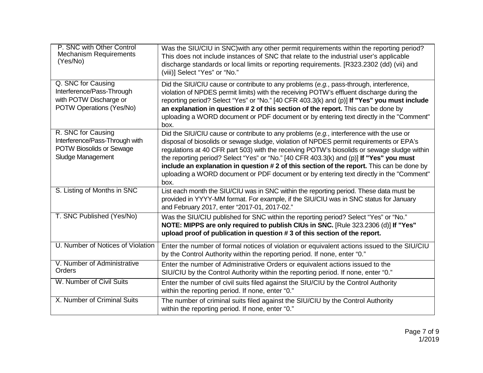| P. SNC with Other Control<br><b>Mechanism Requirements</b><br>(Yes/No)                                       | Was the SIU/CIU in SNC) with any other permit requirements within the reporting period?<br>This does not include instances of SNC that relate to the industrial user's applicable<br>discharge standards or local limits or reporting requirements. [R323.2302 (dd) (vii) and<br>(viii)] Select "Yes" or "No."                                                                                                                                                                                                                                                              |
|--------------------------------------------------------------------------------------------------------------|-----------------------------------------------------------------------------------------------------------------------------------------------------------------------------------------------------------------------------------------------------------------------------------------------------------------------------------------------------------------------------------------------------------------------------------------------------------------------------------------------------------------------------------------------------------------------------|
| Q. SNC for Causing<br>Interference/Pass-Through<br>with POTW Discharge or<br>POTW Operations (Yes/No)        | Did the SIU/CIU cause or contribute to any problems (e.g., pass-through, interference,<br>violation of NPDES permit limits) with the receiving POTW's effluent discharge during the<br>reporting period? Select "Yes" or "No." [40 CFR 403.3(k) and (p)] If "Yes" you must include<br>an explanation in question #2 of this section of the report. This can be done by<br>uploading a WORD document or PDF document or by entering text directly in the "Comment"<br>box.                                                                                                   |
| R. SNC for Causing<br>Interference/Pass-Through with<br><b>POTW Biosolids or Sewage</b><br>Sludge Management | Did the SIU/CIU cause or contribute to any problems (e.g., interference with the use or<br>disposal of biosolids or sewage sludge, violation of NPDES permit requirements or EPA's<br>regulations at 40 CFR part 503) with the receiving POTW's biosolids or sewage sludge within<br>the reporting period? Select "Yes" or "No." [40 CFR 403.3(k) and (p)] If "Yes" you must<br>include an explanation in question #2 of this section of the report. This can be done by<br>uploading a WORD document or PDF document or by entering text directly in the "Comment"<br>box. |
| S. Listing of Months in SNC                                                                                  | List each month the SIU/CIU was in SNC within the reporting period. These data must be<br>provided in YYYY-MM format. For example, if the SIU/CIU was in SNC status for January<br>and February 2017, enter "2017-01, 2017-02."                                                                                                                                                                                                                                                                                                                                             |
| T. SNC Published (Yes/No)                                                                                    | Was the SIU/CIU published for SNC within the reporting period? Select "Yes" or "No."<br>NOTE: MIPPS are only required to publish CIUs in SNC. [Rule 323.2306 (d)] If "Yes"<br>upload proof of publication in question #3 of this section of the report.                                                                                                                                                                                                                                                                                                                     |
| U. Number of Notices of Violation                                                                            | Enter the number of formal notices of violation or equivalent actions issued to the SIU/CIU<br>by the Control Authority within the reporting period. If none, enter "0."                                                                                                                                                                                                                                                                                                                                                                                                    |
| V. Number of Administrative<br>Orders                                                                        | Enter the number of Administrative Orders or equivalent actions issued to the<br>SIU/CIU by the Control Authority within the reporting period. If none, enter "0."                                                                                                                                                                                                                                                                                                                                                                                                          |
| W. Number of Civil Suits                                                                                     | Enter the number of civil suits filed against the SIU/CIU by the Control Authority<br>within the reporting period. If none, enter "0."                                                                                                                                                                                                                                                                                                                                                                                                                                      |
| X. Number of Criminal Suits                                                                                  | The number of criminal suits filed against the SIU/CIU by the Control Authority<br>within the reporting period. If none, enter "0."                                                                                                                                                                                                                                                                                                                                                                                                                                         |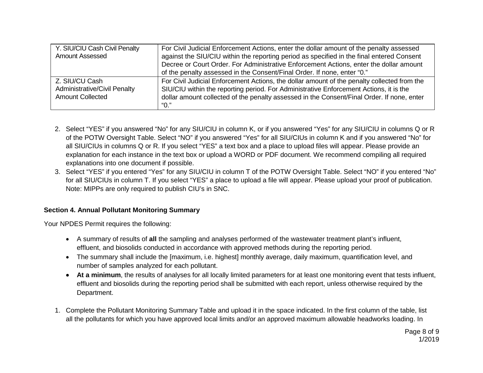| Y. SIU/CIU Cash Civil Penalty       | For Civil Judicial Enforcement Actions, enter the dollar amount of the penalty assessed     |
|-------------------------------------|---------------------------------------------------------------------------------------------|
| <b>Amount Assessed</b>              | against the SIU/CIU within the reporting period as specified in the final entered Consent   |
|                                     | Decree or Court Order. For Administrative Enforcement Actions, enter the dollar amount      |
|                                     | of the penalty assessed in the Consent/Final Order. If none, enter "0."                     |
| Z. SIU/CU Cash                      | For Civil Judicial Enforcement Actions, the dollar amount of the penalty collected from the |
| <b>Administrative/Civil Penalty</b> | SIU/CIU within the reporting period. For Administrative Enforcement Actions, it is the      |
| <b>Amount Collected</b>             | dollar amount collected of the penalty assessed in the Consent/Final Order. If none, enter  |
|                                     | "O."                                                                                        |

- 2. Select "YES" if you answered "No" for any SIU/CIU in column K, or if you answered "Yes" for any SIU/CIU in columns Q or R of the POTW Oversight Table. Select "NO" if you answered "Yes" for all SIU/CIUs in column K and if you answered "No" for all SIU/CIUs in columns Q or R. If you select "YES" a text box and a place to upload files will appear. Please provide an explanation for each instance in the text box or upload a WORD or PDF document. We recommend compiling all required explanations into one document if possible.
- 3. Select "YES" if you entered "Yes" for any SIU/CIU in column T of the POTW Oversight Table. Select "NO" if you entered "No" for all SIU/CIUs in column T. If you select "YES" a place to upload a file will appear. Please upload your proof of publication. Note: MIPPs are only required to publish CIU's in SNC.

#### **Section 4. Annual Pollutant Monitoring Summary**

Your NPDES Permit requires the following:

- A summary of results of **all** the sampling and analyses performed of the wastewater treatment plant's influent, effluent, and biosolids conducted in accordance with approved methods during the reporting period.
- The summary shall include the [maximum, i.e. highest] monthly average, daily maximum, quantification level, and number of samples analyzed for each pollutant.
- **At a minimum**, the results of analyses for all locally limited parameters for at least one monitoring event that tests influent, effluent and biosolids during the reporting period shall be submitted with each report, unless otherwise required by the Department.
- 1. Complete the Pollutant Monitoring Summary Table and upload it in the space indicated. In the first column of the table, list all the pollutants for which you have approved local limits and/or an approved maximum allowable headworks loading. In